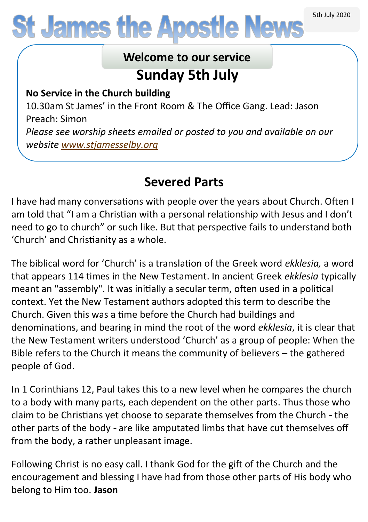# **St James the Apostle News**

## **Sunday 5th July Welcome to our service**

**No Service in the Church building**

10.30am St James' in the Front Room & The Office Gang. Lead: Jason Preach: Simon

*Please see worship sheets emailed or posted to you and available on our website [www.stjamesselby.org](http://www.stjamesselby.org)*

## **Severed Parts**

I have had many conversations with people over the years about Church. Often I am told that "I am a Christian with a personal relationship with Jesus and I don't need to go to church" or such like. But that perspective fails to understand both 'Church' and Christianity as a whole.

The biblical word for 'Church' is a translation of the Greek word *ekklesia,* a word that appears 114 times in the New Testament. In ancient Greek *ekklesia* typically meant an "assembly". It was initially a secular term, often used in a political context. Yet the New Testament authors adopted this term to describe the Church. Given this was a time before the Church had buildings and denominations, and bearing in mind the root of the word *ekklesia*, it is clear that the New Testament writers understood 'Church' as a group of people: When the Bible refers to the Church it means the community of believers – the gathered people of God.

In 1 Corinthians 12, Paul takes this to a new level when he compares the church to a body with many parts, each dependent on the other parts. Thus those who claim to be Christians yet choose to separate themselves from the Church - the other parts of the body - are like amputated limbs that have cut themselves off from the body, a rather unpleasant image.

Following Christ is no easy call. I thank God for the gift of the Church and the encouragement and blessing I have had from those other parts of His body who belong to Him too. **Jason**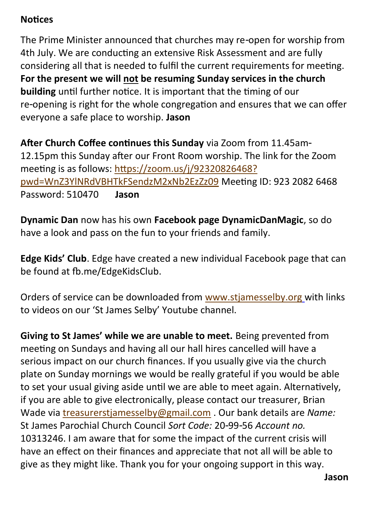#### **Notices**

The Prime Minister announced that churches may re-open for worship from 4th July. We are conducting an extensive Risk Assessment and are fully considering all that is needed to fulfil the current requirements for meeting. **For the present we will not be resuming Sunday services in the church building** until further notice. It is important that the timing of our re-opening is right for the whole congregation and ensures that we can offer everyone a safe place to worship. **Jason**

**After Church Coffee continues this Sunday** via Zoom from 11.45am-12.15pm this Sunday after our Front Room worship. The link for the Zoom meeting is as follows: [https://zoom.us/j/92320826468?](https://zoom.us/j/92320826468?pwd=WnZ3YlNRdVBHTkFSendzM2xNb2EzZz09) [pwd=WnZ3YlNRdVBHTkFSendzM2xNb2EzZz09](https://zoom.us/j/92320826468?pwd=WnZ3YlNRdVBHTkFSendzM2xNb2EzZz09) Meeting ID: 923 2082 6468 Password: 510470 **Jason** 

**Dynamic Dan** now has his own **Facebook page DynamicDanMagic**, so do have a look and pass on the fun to your friends and family.

**Edge Kids' Club**. Edge have created a new individual Facebook page that can be found at fb.me/EdgeKidsClub.

Orders of service can be downloaded from [www.stjamesselby.org](http://www.stjamesselby.org) with links to videos on our 'St James Selby' Youtube channel.

**Giving to St James' while we are unable to meet.** Being prevented from meeting on Sundays and having all our hall hires cancelled will have a serious impact on our church finances. If you usually give via the church plate on Sunday mornings we would be really grateful if you would be able to set your usual giving aside until we are able to meet again. Alternatively, if you are able to give electronically, please contact our treasurer, Brian Wade via [treasurerstjamesselby@gmail.com](mailto:treasurerstjamesselby@gmail.com) . Our bank details are *Name:* St James Parochial Church Council *Sort Code:* 20-99-56 *Account no.* 10313246. I am aware that for some the impact of the current crisis will have an effect on their finances and appreciate that not all will be able to give as they might like. Thank you for your ongoing support in this way.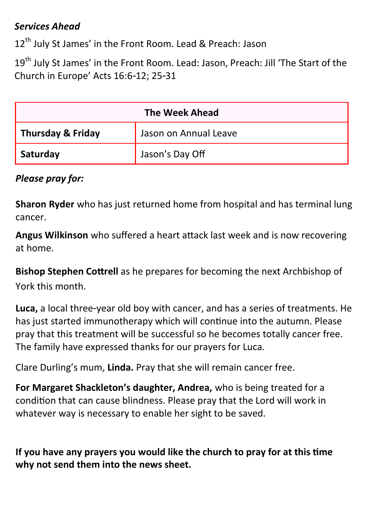#### *Services Ahead*

12<sup>th</sup> July St James' in the Front Room. Lead & Preach: Jason

19<sup>th</sup> July St James' in the Front Room. Lead: Jason, Preach: Jill 'The Start of the Church in Europe' Acts 16:6-12; 25-31

| <b>The Week Ahead</b> |                       |  |  |
|-----------------------|-----------------------|--|--|
| Thursday & Friday     | Jason on Annual Leave |  |  |
| Saturday              | Jason's Day Off       |  |  |

#### *Please pray for:*

**Sharon Ryder** who has just returned home from hospital and has terminal lung cancer.

**Angus Wilkinson** who suffered a heart attack last week and is now recovering at home.

**Bishop Stephen Cottrell** as he prepares for becoming the next Archbishop of York this month.

**Luca,** a local three-year old boy with cancer, and has a series of treatments. He has just started immunotherapy which will continue into the autumn. Please pray that this treatment will be successful so he becomes totally cancer free. The family have expressed thanks for our prayers for Luca.

Clare Durling's mum, **Linda.** Pray that she will remain cancer free.

**For Margaret Shackleton's daughter, Andrea,** who is being treated for a condition that can cause blindness. Please pray that the Lord will work in whatever way is necessary to enable her sight to be saved.

**If you have any prayers you would like the church to pray for at this time why not send them into the news sheet.**